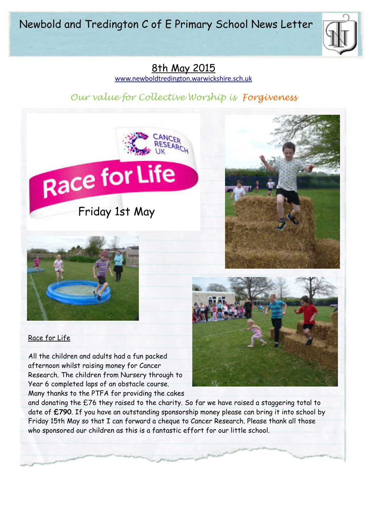Newbold and Tredington C of E Primary School News Letter



# 8th May 2015

[www.newboldtredington.warwickshire.sch.uk](http://www.newboldtredington.warwickshire.sch.uk)

# *Our value for Collective Worship is Forgiveness*



#### Race for Life

All the children and adults had a fun packed afternoon whilst raising money for Cancer Research. The children from Nursery through to Year 6 completed laps of an obstacle course. Many thanks to the PTFA for providing the cakes

and donating the £76 they raised to the charity. So far we have raised a staggering total to date of **£790**. If you have an outstanding sponsorship money please can bring it into school by Friday 15th May so that I can forward a cheque to Cancer Research. Please thank all those who sponsored our children as this is a fantastic effort for our little school.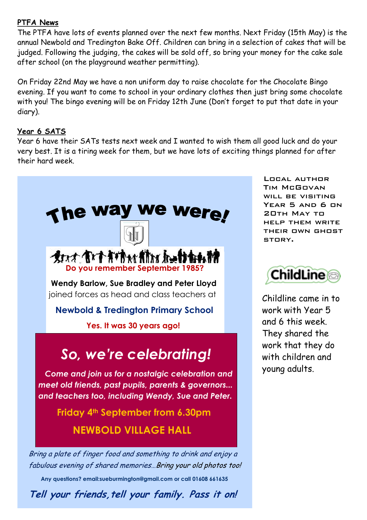### **PTFA News**

The PTFA have lots of events planned over the next few months. Next Friday (15th May) is the annual Newbold and Tredington Bake Off. Children can bring in a selection of cakes that will be judged. Following the judging, the cakes will be sold off, so bring your money for the cake sale after school (on the playground weather permitting).

On Friday 22nd May we have a non uniform day to raise chocolate for the Chocolate Bingo evening. If you want to come to school in your ordinary clothes then just bring some chocolate with you! The bingo evening will be on Friday 12th June (Don't forget to put that date in your diary).

## **Year 6 SATS**

Year 6 have their SATs tests next week and I wanted to wish them all good luck and do your very best. It is a tiring week for them, but we have lots of exciting things planned for after their hard week.



**Tell your friends,tell your family. Pass it on!**

Local author Tim McGovan will be visiting Year 5 and 6 on 20th May to help them write their own ghost story.



Childline came in to work with Year 5 and 6 this week. They shared the work that they do with children and young adults.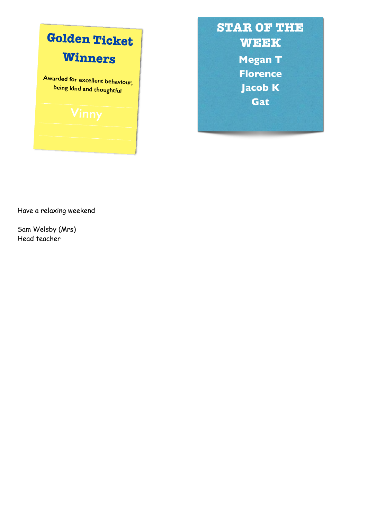

**STAR OF THE WEEK Megan T Florence Jacob K Gat**

Have a relaxing weekend

Sam Welsby (Mrs) Head teacher